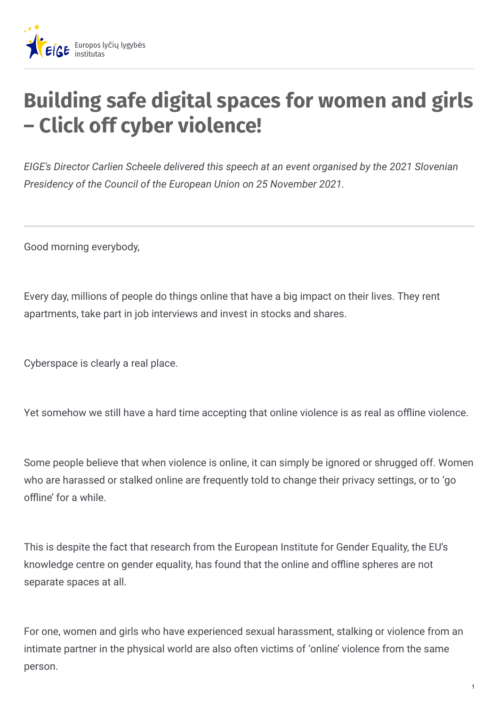

## **Building safe digital spaces for women and girls – Click off cyber violence!**

*EIGE's Director Carlien Scheele delivered this speech at an event organised by the 2021 Slovenian Presidency of the Council of the European Union on 25 November 2021.*

Good morning everybody,

Every day, millions of people do things online that have a big impact on their lives. They rent apartments, take part in job interviews and invest in stocks and shares.

Cyberspace is clearly a real place.

Yet somehow we still have a hard time accepting that online violence is as real as offline violence.

Some people believe that when violence is online, it can simply be ignored or shrugged off. Women who are harassed or stalked online are frequently told to change their privacy settings, or to 'go offline' for a while.

This is despite the fact that research from the European Institute for Gender Equality, the EU's knowledge centre on gender equality, has found that the online and offline spheres are not separate spaces at all.

For one, women and girls who have experienced sexual harassment, stalking or violence from an intimate partner in the physical world are also often victims of 'online' violence from the same person.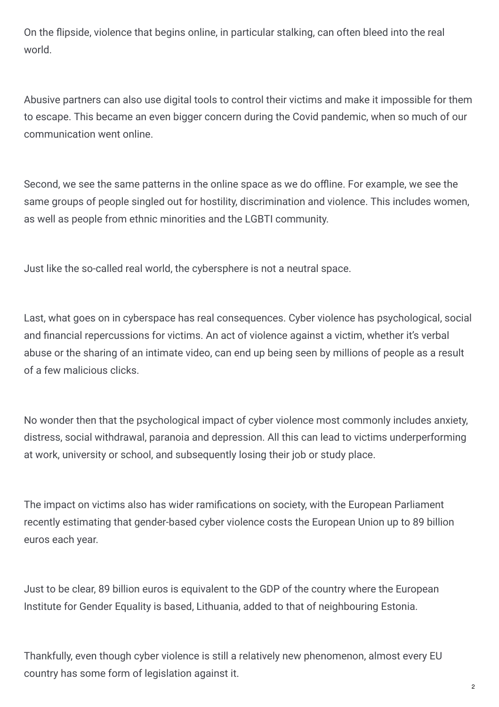On the flipside, violence that begins online, in particular stalking, can often bleed into the real world.

Abusive partners can also use digital tools to control their victims and make it impossible for them to escape. This became an even bigger concern during the Covid pandemic, when so much of our communication went online.

Second, we see the same patterns in the online space as we do offline. For example, we see the same groups of people singled out for hostility, discrimination and violence. This includes women, as well as people from ethnic minorities and the LGBTI community.

Just like the so-called real world, the cybersphere is not a neutral space.

Last, what goes on in cyberspace has real consequences. Cyber violence has psychological, social and financial repercussions for victims. An act of violence against a victim, whether it's verbal abuse or the sharing of an intimate video, can end up being seen by millions of people as a result of a few malicious clicks.

No wonder then that the psychological impact of cyber violence most commonly includes anxiety, distress, social withdrawal, paranoia and depression. All this can lead to victims underperforming at work, university or school, and subsequently losing their job or study place.

The impact on victims also has wider ramifications on society, with the European Parliament recently estimating that gender-based cyber violence costs the European Union up to 89 billion euros each year.

Just to be clear, 89 billion euros is equivalent to the GDP of the country where the European Institute for Gender Equality is based, Lithuania, added to that of neighbouring Estonia.

Thankfully, even though cyber violence is still a relatively new phenomenon, almost every EU country has some form of legislation against it.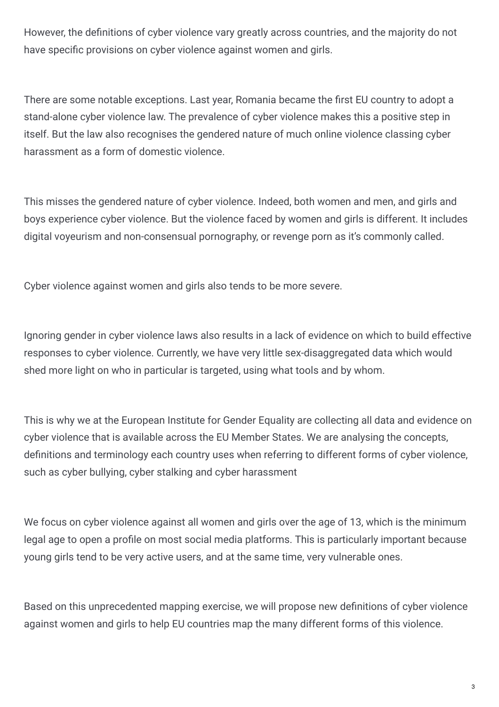However, the definitions of cyber violence vary greatly across countries, and the majority do not have specific provisions on cyber violence against women and girls.

There are some notable exceptions. Last year, Romania became the first EU country to adopt a stand-alone cyber violence law. The prevalence of cyber violence makes this a positive step in itself. But the law also recognises the gendered nature of much online violence classing cyber harassment as a form of domestic violence.

This misses the gendered nature of cyber violence. Indeed, both women and men, and girls and boys experience cyber violence. But the violence faced by women and girls is different. It includes digital voyeurism and non-consensual pornography, or revenge porn as it's commonly called.

Cyber violence against women and girls also tends to be more severe.

Ignoring gender in cyber violence laws also results in a lack of evidence on which to build effective responses to cyber violence. Currently, we have very little sex-disaggregated data which would shed more light on who in particular is targeted, using what tools and by whom.

This is why we at the European Institute for Gender Equality are collecting all data and evidence on cyber violence that is available across the EU Member States. We are analysing the concepts, definitions and terminology each country uses when referring to different forms of cyber violence, such as cyber bullying, cyber stalking and cyber harassment

We focus on cyber violence against all women and girls over the age of 13, which is the minimum legal age to open a profile on most social media platforms. This is particularly important because young girls tend to be very active users, and at the same time, very vulnerable ones.

Based on this unprecedented mapping exercise, we will propose new definitions of cyber violence against women and girls to help EU countries map the many different forms of this violence.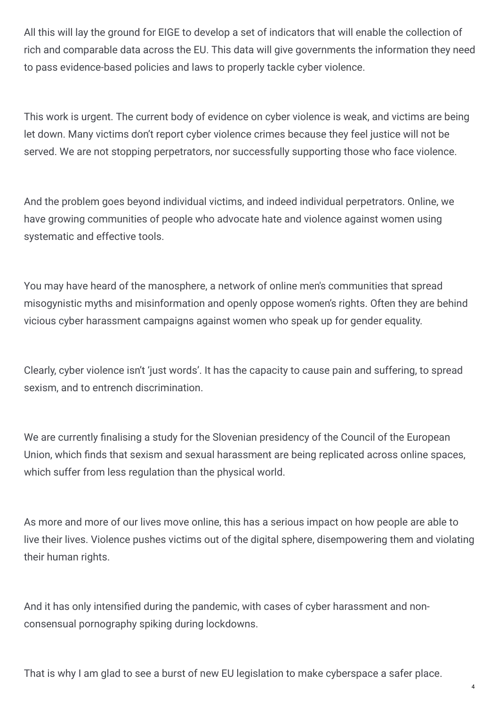All this will lay the ground for EIGE to develop a set of indicators that will enable the collection of rich and comparable data across the EU. This data will give governments the information they need to pass evidence-based policies and laws to properly tackle cyber violence.

This work is urgent. The current body of evidence on cyber violence is weak, and victims are being let down. Many victims don't report cyber violence crimes because they feel justice will not be served. We are not stopping perpetrators, nor successfully supporting those who face violence.

And the problem goes beyond individual victims, and indeed individual perpetrators. Online, we have growing communities of people who advocate hate and violence against women using systematic and effective tools.

You may have heard of the manosphere, a network of online men's communities that spread misogynistic myths and misinformation and openly oppose women's rights. Often they are behind vicious cyber harassment campaigns against women who speak up for gender equality.

Clearly, cyber violence isn't 'just words'. It has the capacity to cause pain and suffering, to spread sexism, and to entrench discrimination.

We are currently finalising a study for the Slovenian presidency of the Council of the European Union, which finds that sexism and sexual harassment are being replicated across online spaces, which suffer from less regulation than the physical world.

As more and more of our lives move online, this has a serious impact on how people are able to live their lives. Violence pushes victims out of the digital sphere, disempowering them and violating their human rights.

And it has only intensified during the pandemic, with cases of cyber harassment and nonconsensual pornography spiking during lockdowns.

That is why I am glad to see a burst of new EU legislation to make cyberspace a safer place.